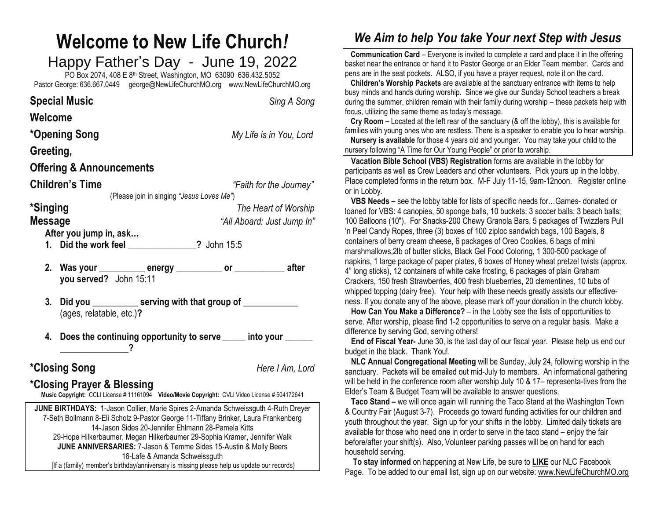### **Welcome to New Life Church***!* Happy Father's Day - June 19, 2022 PO Box 2074, 408 E 8th Street, Washington, MO 63090 636.432.5052 Pastor George: 636.667.0449 [george@NewLifeChurchMO.org](mailto:george@NewLifeChurchMO.org) [www.NewLifeChurchMO.org](http://www.newlifechurchmo.org/)

**Special Music** *Sing A Song* **Welcome \*Opening Song** *My Life is in You, Lord* **Greeting, Offering & Announcements Children's Time** *"Faith for the Journey"* (Please join in singing *"Jesus Loves Me"*) **\*Singing** *The Heart of Worship* **Message** *"All Aboard: Just Jump In"* **After you jump in, ask… 1. Did the work feel \_\_\_\_\_\_\_\_\_\_\_\_\_\_\_?** John 15:5 **2. Was your \_\_\_\_\_\_\_\_\_\_ energy \_\_\_\_\_\_\_\_\_\_ or \_\_\_\_\_\_\_\_\_\_\_ after you served?** John 15:11

**3. Did you \_\_\_\_\_\_\_\_\_\_ serving with that group of \_\_\_\_\_\_\_\_\_\_\_\_** (ages, relatable, etc.)**?**

**4. Does the continuing opportunity to serve \_\_\_\_\_ into your \_\_\_\_\_\_ \_\_\_\_\_\_\_\_\_\_\_\_\_\_\_?**

## **\*Closing Song** *Here I Am, Lord*

# **\*Closing Prayer & Blessing**

**Music Copyright:** CCLI License # 11161094 **Video/Movie Copyright:** CVLI Video License # 504172641

**JUNE BIRTHDAYS:** 1-Jason Collier, Marie Spires 2-Amanda Schweissguth 4-Ruth Dreyer 7-Seth Bollmann 8-Eli Scholz 9-Pastor George 11-Tiffany Brinker, Laura Frankenberg 14-Jason Sides 20-Jennifer Ehlmann 28-Pamela Kitts 29-Hope Hilkerbaumer, Megan Hilkerbaumer 29-Sophia Kramer, Jennifer Walk **JUNE ANNIVERSARIES:** 7-Jason & Temme Sides 15-Austin & Molly Beers 16-Lafe & Amanda Schweissguth [If a (family) member's birthday/anniversary is missing please help us update our records)

# *We Aim to help You take Your next Step with Jesus*

 **Communication Card** – Everyone is invited to complete a card and place it in the offering basket near the entrance or hand it to Pastor George or an Elder Team member. Cards and pens are in the seat pockets. ALSO, if you have a prayer request, note it on the card.

 **Children's Worship Packets** are available at the sanctuary entrance with items to help busy minds and hands during worship. Since we give our Sunday School teachers a break during the summer, children remain with their family during worship – these packets help with focus, utilizing the same theme as today's message.

 **Cry Room –** Located at the left rear of the sanctuary (& off the lobby), this is available for families with young ones who are restless. There is a speaker to enable you to hear worship.

 **Nursery is available** for those 4 years old and younger. You may take your child to the nursery following "A Time for Our Young People" or prior to worship.

 **Vacation Bible School (VBS) Registration** forms are available in the lobby for participants as well as Crew Leaders and other volunteers. Pick yours up in the lobby. Place completed forms in the return box. M-F July 11-15, 9am-12noon. Register online or in Lobby.

 **VBS Needs –** see the lobby table for lists of specific needs for…Games- donated or loaned for VBS: 4 canopies, 50 sponge balls, 10 buckets; 3 soccer balls; 3 beach balls; 100 Balloons (10"). For Snacks-200 Chewy Granola Bars, 5 packages of Twizzlers Pull 'n Peel Candy Ropes, three (3) boxes of 100 ziploc sandwich bags, 100 Bagels, 8 containers of berry cream cheese, 6 packages of Oreo Cookies, 6 bags of mini marshmallows,2lb of butter sticks, Black Gel Food Coloring, 1 300-500 package of napkins, 1 large package of paper plates, 6 boxes of Honey wheat pretzel twists (approx. 4" long sticks), 12 containers of white cake frosting, 6 packages of plain Graham Crackers, 150 fresh Strawberries, 400 fresh blueberries, 20 clementines, 10 tubs of whipped topping (dairy free). Your help with these needs greatly assists our effectiveness. If you donate any of the above, please mark off your donation in the church lobby.

 **How Can You Make a Difference?** – in the Lobby see the lists of opportunities to serve. After worship, please find 1-2 opportunities to serve on a regular basis. Make a difference by serving God, serving others!

 **End of Fiscal Year-** June 30, is the last day of our fiscal year. Please help us end our budget in the black. Thank You!.

 **NLC Annual Congregational Meeting** will be Sunday, July 24, following worship in the sanctuary. Packets will be emailed out mid-July to members. An informational gathering will be held in the conference room after worship July 10 & 17– representa-tives from the Elder's Team & Budget Team will be available to answer questions.

**Taco Stand –** we will once again will running the Taco Stand at the Washington Town & Country Fair (August 3-7). Proceeds go toward funding activities for our children and youth throughout the year. Sign up for your shifts in the lobby. Limited daily tickets are available for those who need one in order to serve in the taco stand – enjoy the fair before/after your shift(s). Also, Volunteer parking passes will be on hand for each household serving.

 **To stay informed** on happening at New Life, be sure to **LIKE** our NLC Facebook Page. To be added to our email list, sign up on our website[: www.NewLifeChurchMO.org](about:blank)